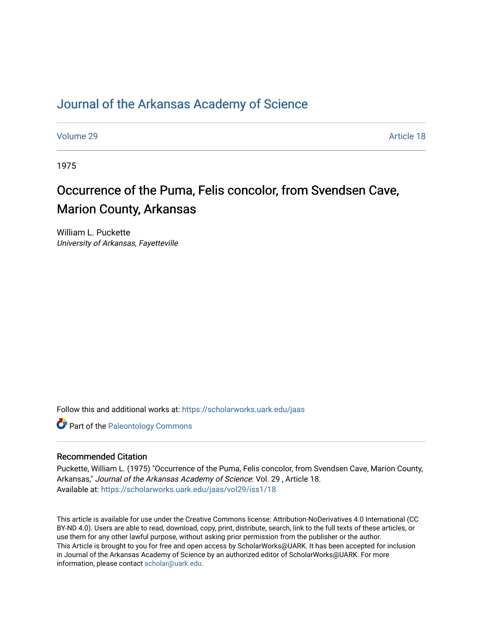## [Journal of the Arkansas Academy of Science](https://scholarworks.uark.edu/jaas)

[Volume 29](https://scholarworks.uark.edu/jaas/vol29) Article 18

1975

# Occurrence of the Puma, Felis concolor, from Svendsen Cave, Marion County, Arkansas

William L. Puckette University of Arkansas, Fayetteville

Follow this and additional works at: [https://scholarworks.uark.edu/jaas](https://scholarworks.uark.edu/jaas?utm_source=scholarworks.uark.edu%2Fjaas%2Fvol29%2Fiss1%2F18&utm_medium=PDF&utm_campaign=PDFCoverPages) 

**Part of the Paleontology Commons** 

### Recommended Citation

Puckette, William L. (1975) "Occurrence of the Puma, Felis concolor, from Svendsen Cave, Marion County, Arkansas," Journal of the Arkansas Academy of Science: Vol. 29 , Article 18. Available at: [https://scholarworks.uark.edu/jaas/vol29/iss1/18](https://scholarworks.uark.edu/jaas/vol29/iss1/18?utm_source=scholarworks.uark.edu%2Fjaas%2Fvol29%2Fiss1%2F18&utm_medium=PDF&utm_campaign=PDFCoverPages)

This article is available for use under the Creative Commons license: Attribution-NoDerivatives 4.0 International (CC BY-ND 4.0). Users are able to read, download, copy, print, distribute, search, link to the full texts of these articles, or use them for any other lawful purpose, without asking prior permission from the publisher or the author. This Article is brought to you for free and open access by ScholarWorks@UARK. It has been accepted for inclusion in Journal of the Arkansas Academy of Science by an authorized editor of ScholarWorks@UARK. For more information, please contact [scholar@uark.edu.](mailto:scholar@uark.edu)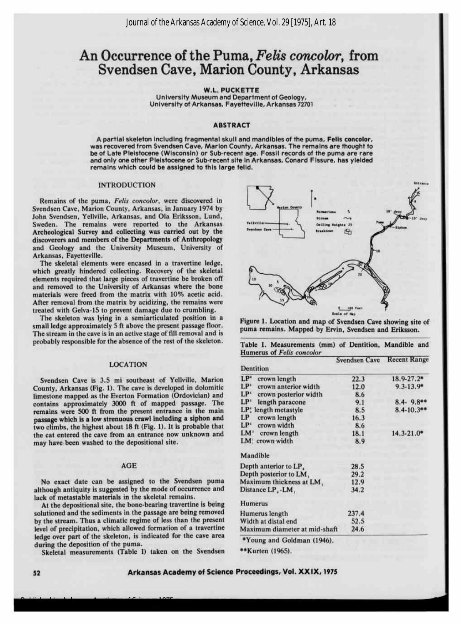## An Occurrence of the Puma, Felis concolor, from Svendsen Cave, Marion County, Arkansas

W.L. PUCKETTE

University Museum and Department of Geology, University of Arkansas, Fayetteville, Arkansas <sup>72701</sup>

#### ABSTRACT

Apartial skeleton including fragmental skull and mandibles of the puma, Felis concolor, was recovered from Svendsen Cave, Marion County, Arkansas. The remains are thought to be of Late Pleistocene (Wisconsin) or Sub-recent age. Fossil records of the puma are rare and only one other Pleistocene or Sub-recent site inArkansas, Conard Fissure, has yielded remains which could be assigned to this large felid.

#### INTRODUCTION

Remains of the puma, Felis concolor, were discovered in Svendsen Cave, Marion County, Arkansas, in January <sup>1974</sup> by John Svendsen, Yellville, Arkansas, and Ola Eriksson, Lund, Sweden. The remains were reported to the Arkansas Archeological Survey and collecting was carried out by the discoverers and members of the Departments of Anthropology and Geology and the University Museum, University of Arkansas, Fayetteville.

The skeletal elements were encased in a travertine ledge, which greatly hindered collecting. Recovery of the skeletal elements required that large pieces of travertine be broken off and removed to the University of Arkansas where the bone materials were freed from the matrix with 10% acetic acid. After removal from the matrix by acidizing, the remains were treated with Gelva-15 to prevent damage due to crumbling.

The skeleton was lying in a semiarticulated position in a small ledge approximately 5 ft above the present passage floor. The stream in the cave is in an active stage of fill removal and is probably responsible for the absence of the rest of the skeleton.

#### LOCATION

Svendsen Cave is 3.5 mi southeast of Yellville, Marion County, Arkansas (Fig. 1). The cave is developed in dolomitic limestone mapped as the Everton Formation (Ordovician) and contains approximately 3000 ft of mapped passage. The remains were <sup>500</sup> ft from the present entrance in the main passage which is alow strenuous crawlincluding a siphon and two climbs, the highest about 18 ft (Fig. 1). It is probable that the cat entered the cave from an entrance now unknown and may have been washed to the depositional site.

#### AGE

No exact date can be assigned to the Svendsen puma although antiquity is suggested by the mode of occurrence and lack of metastable materials in the skeletal remains.

At the depositional site, the bone-bearing travertine is being solutioned and the sediments in the passage are being removed by the stream. Thus a climatic regime of less than the present level of precipitation, which allowed formation of a travertine ledge over part of the skeleton, is indicated for the cave area during the deposition of the puma.

Skeletal measurements (Table I) taken on the Svendsen

Published by Arkansas Academy of Science, 1975



Figure 1. Location and map of Svendsen Cave showing site of puma remains. Mapped by Ervin, Svendsen and Eriksson. Table I. Measurements (mm) of Dentition, Mandible and

|                                    | Svendsen Cave Recent Range |                 |
|------------------------------------|----------------------------|-----------------|
| Dentition                          |                            |                 |
| LP <sup>*</sup><br>crown length    | 22.3                       | 18.9-27.2*      |
| $LP^*$<br>crown anterior width     | 12.0                       | $9.3 - 13.9*$   |
| $LP^*$<br>crown posterior width    | 8.6                        |                 |
| LP <sup>+</sup><br>length paracone | 9.1                        | $8.4 - 9.8**$   |
| LP: length metastyle               | 8.5                        | $8.4 - 10.3$ ** |
| LP<br>crown length                 | 16.3                       |                 |
| LP<br>crown width                  | 8.6                        |                 |
| LM <sup>+</sup><br>crown length    | 18.1                       | $14.3 - 21.0*$  |
| crown width<br>LM!                 | 8.9                        |                 |
| Mandible                           |                            |                 |
| Depth anterior to LP.              | 28.5                       |                 |
| Depth posterior to LM,             | 29.2                       |                 |
| Maximum thickness at LM.           | 12.9                       |                 |
| Distance LP, -LM,                  | 34.2                       |                 |
| <b>Humerus</b>                     |                            |                 |
| Humerus length                     | 237.4                      |                 |
| Width at distal end                | 52.5                       |                 |
| Maximum diameter at mid-shaft      | 24.6                       |                 |
| *Young and Goldman (1946).         |                            |                 |

52

\*\*Kurten (1965).